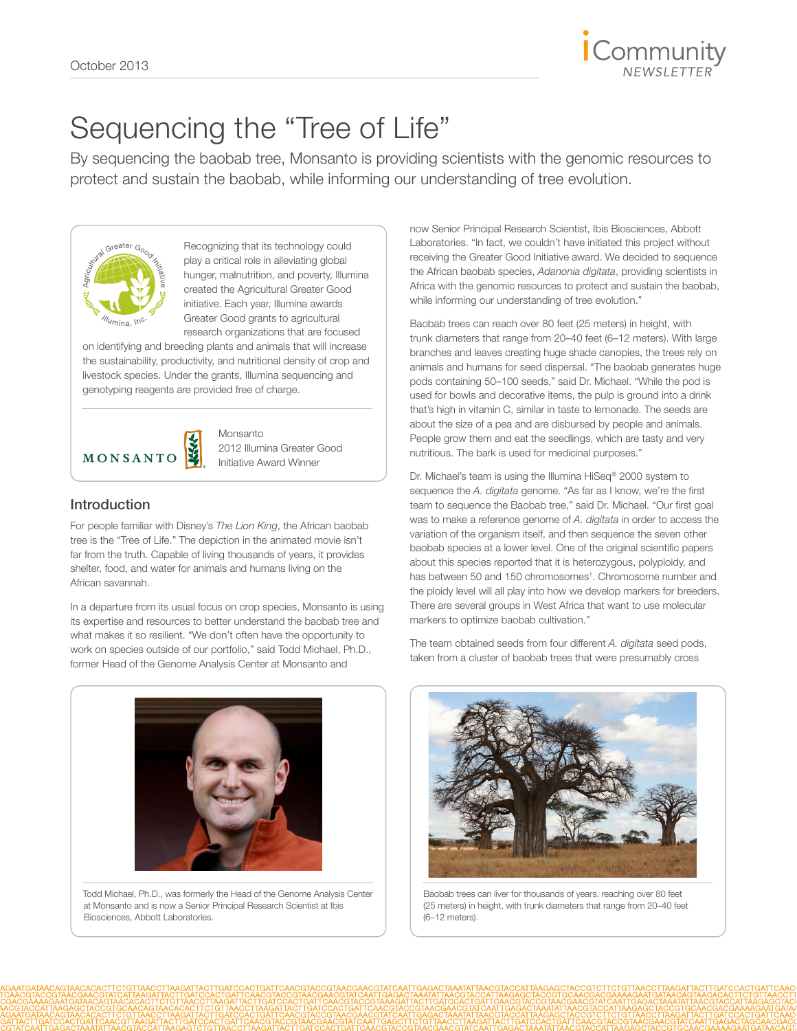## Sequencing the "Tree of Life"

By sequencing the baobab tree, Monsanto is providing scientists with the genomic resources to protect and sustain the baobab, while informing our understanding of tree evolution.



Recognizing that its technology could play a critical role in alleviating global hunger, malnutrition, and poverty, Illumina created the Agricultural Greater Good initiative. Each year, Illumina awards Greater Good grants to agricultural research organizations that are focused

on identifying and breeding plants and animals that will increase the sustainability, productivity, and nutritional density of crop and livestock species. Under the grants, Illumina sequencing and genotyping reagents are provided free of charge.



Monsanto 2012 Illumina Greater Good Initiative Award Winner

### Introduction

For people familiar with Disney's *The Lion King*, the African baobab tree is the "Tree of Life." The depiction in the animated movie isn't far from the truth. Capable of living thousands of years, it provides shelter, food, and water for animals and humans living on the African savannah.

In a departure from its usual focus on crop species, Monsanto is using its expertise and resources to better understand the baobab tree and what makes it so resilient. "We don't often have the opportunity to work on species outside of our portfolio," said Todd Michael, Ph.D., former Head of the Genome Analysis Center at Monsanto and

now Senior Principal Research Scientist, Ibis Biosciences, Abbott Laboratories. "In fact, we couldn't have initiated this project without receiving the Greater Good Initiative award. We decided to sequence the African baobab species, *Adanonia digitata*, providing scientists in Africa with the genomic resources to protect and sustain the baobab, while informing our understanding of tree evolution."

Baobab trees can reach over 80 feet (25 meters) in height, with trunk diameters that range from 20–40 feet (6–12 meters). With large branches and leaves creating huge shade canopies, the trees rely on animals and humans for seed dispersal. "The baobab generates huge pods containing 50–100 seeds," said Dr. Michael. "While the pod is used for bowls and decorative items, the pulp is ground into a drink that's high in vitamin C, similar in taste to lemonade. The seeds are about the size of a pea and are disbursed by people and animals. People grow them and eat the seedlings, which are tasty and very nutritious. The bark is used for medicinal purposes."

Dr. Michael's team is using the Illumina [HiSeq® 2000 system](http://www.illumina.com/systems/hiseq_2000_1000.ilmn) to sequence the *A. digitata* genome. "As far as I know, we're the first team to sequence the Baobab tree," said Dr. Michael. "Our first goal was to make a reference genome of *A. digitata* in order to access the variation of the organism itself, and then sequence the seven other baobab species at a lower level. One of the original scientific papers about this species reported that it is heterozygous, polyploidy, and has between 50 and 150 chromosomes<sup>1</sup>. Chromosome number and the ploidy level will all play into how we develop markers for breeders. There are several groups in West Africa that want to use molecular markers to optimize baobab cultivation."

The team obtained seeds from four different *A. digitata* seed pods, taken from a cluster of baobab trees that were presumably cross



Todd Michael, Ph.D., was formerly the Head of the Genome Analysis Center at Monsanto and is now a Senior Principal Research Scientist at Ibis Biosciences, Abbott Laboratories.



Baobab trees can liver for thousands of years, reaching over 80 feet (25 meters) in height, with trunk diameters that range from 20–40 feet (6–12 meters).